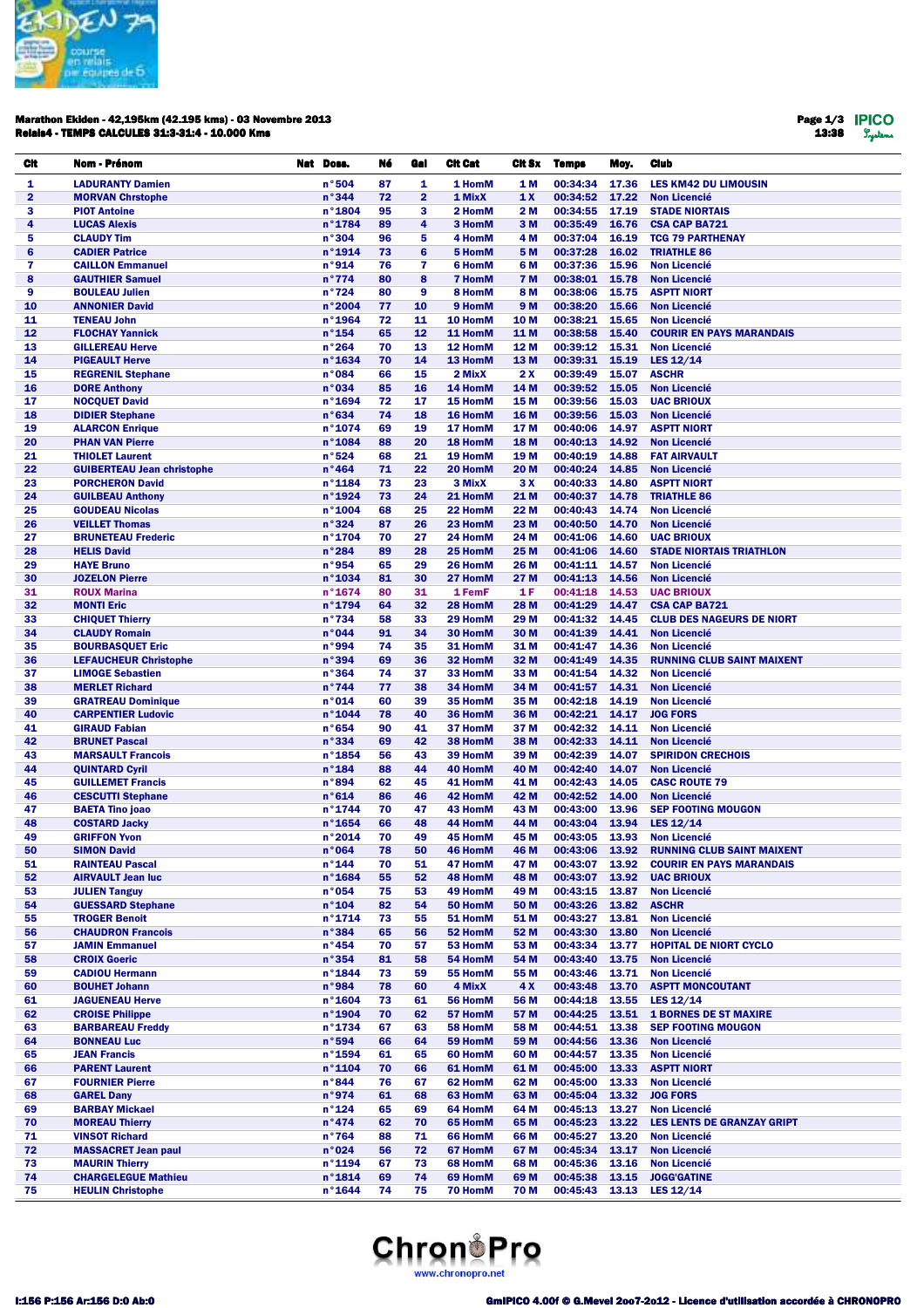

## Marathon Ekiden - 42,195km (42.195 kms) - 03 Novembre 2013 Relais4 - TEMPS CALCULES 31:3-31:4 - 10.000 Kms

Page 1/3 13:38

| Cit          | Nom - Prénom                                            | Nat Doss.                  | Né       | Gal            | <b>Cit Cat</b>     | Cit Sx                 | <b>Temps</b>         | Moy.           | Club                                                     |
|--------------|---------------------------------------------------------|----------------------------|----------|----------------|--------------------|------------------------|----------------------|----------------|----------------------------------------------------------|
| 1            | <b>LADURANTY Damien</b>                                 | n°504                      | 87       | 1              | 1 HomM             | <b>1M</b>              | 00:34:34             | 17.36          | <b>LES KM42 DU LIMOUSIN</b>                              |
| $\mathbf{2}$ | <b>MORVAN Chrstophe</b>                                 | n°344                      | 72       | $\overline{2}$ | 1 MixX             | 1X                     | 00:34:52             | 17.22          | <b>Non Licencié</b>                                      |
| 3            | <b>PIOT Antoine</b>                                     | n°1804                     | 95       | 3              | 2 HomM             | 2 M                    | 00:34:55             | 17.19          | <b>STADE NIORTAIS</b>                                    |
| 4            | <b>LUCAS Alexis</b>                                     | n°1784                     | 89       | 4              | 3 HomM             | 3 M                    | 00:35:49             | 16.76          | <b>CSA CAP BA721</b>                                     |
| 5            | <b>CLAUDY Tim</b>                                       | n°304                      | 96       | 5              | 4 HomM             | 4 M                    | 00:37:04             | 16.19          | <b>TCG 79 PARTHENAY</b>                                  |
| 6            | <b>CADIER Patrice</b>                                   | n°1914                     | 73       | $6\phantom{1}$ | 5 HomM             | 5 M                    | 00:37:28             | 16.02          | <b>TRIATHLE 86</b>                                       |
| 7            | <b>CAILLON Emmanuel</b>                                 | n°914                      | 76       | 7              | 6 HomM             | 6 M                    | 00:37:36             | 15.96          | <b>Non Licencié</b>                                      |
| 8            | <b>GAUTHIER Samuel</b>                                  | n°774                      | 80       | 8              | <b>7 HomM</b>      | <b>7 M</b>             | 00:38:01             | 15.78          | <b>Non Licencié</b>                                      |
| 9            | <b>BOULEAU Julien</b>                                   | n°724                      | 80       | 9              | 8 HomM             | 8 M                    | 00:38:06             | 15.75          | <b>ASPTT NIORT</b>                                       |
| 10<br>11     | <b>ANNONIER David</b><br><b>TENEAU John</b>             | n°2004<br>n°1964           | 77<br>72 | 10<br>11       | 9 HomM<br>10 HomM  | 9 M<br>10 <sub>M</sub> | 00:38:20<br>00:38:21 | 15.66<br>15.65 | <b>Non Licencié</b><br><b>Non Licencié</b>               |
| 12           | <b>FLOCHAY Yannick</b>                                  | $n^{\circ}$ 154            | 65       | 12             | 11 HomM            | 11 M                   | 00:38:58             | 15.40          | <b>COURIR EN PAYS MARANDAIS</b>                          |
| 13           | <b>GILLEREAU Herve</b>                                  | n°264                      | 70       | 13             | 12 HomM            | 12 M                   | 00:39:12             | 15.31          | <b>Non Licencié</b>                                      |
| 14           | <b>PIGEAULT Herve</b>                                   | n°1634                     | 70       | 14             | 13 HomM            | 13 M                   | 00:39:31             | 15.19          | LES 12/14                                                |
| 15           | <b>REGRENIL Stephane</b>                                | n°084                      | 66       | 15             | 2 MixX             | 2X                     | 00:39:49             | 15.07          | <b>ASCHR</b>                                             |
| 16           | <b>DORE Anthony</b>                                     | n°034                      | 85       | 16             | 14 HomM            | 14 M                   | 00:39:52             | 15.05          | <b>Non Licencié</b>                                      |
| 17           | <b>NOCQUET David</b>                                    | n°1694                     | 72       | 17             | 15 HomM            | 15 M                   | 00:39:56             | 15.03          | <b>UAC BRIOUX</b>                                        |
| 18           | <b>DIDIER Stephane</b>                                  | n°634                      | 74       | 18             | 16 HomM            | 16 M                   | 00:39:56             | 15.03          | <b>Non Licencié</b>                                      |
| 19           | <b>ALARCON Enrique</b>                                  | n°1074                     | 69       | 19             | 17 HomM            | 17 M                   | 00:40:06             | 14.97          | <b>ASPTT NIORT</b>                                       |
| 20           | <b>PHAN VAN Pierre</b>                                  | n°1084                     | 88       | 20             | 18 HomM            | 18 M                   | 00:40:13             | 14.92          | <b>Non Licencié</b>                                      |
| 21           | <b>THIOLET Laurent</b>                                  | n°524                      | 68       | 21             | 19 HomM            | 19 <sub>M</sub>        | 00:40:19             | 14.88          | <b>FAT AIRVAULT</b>                                      |
| 22           | <b>GUIBERTEAU Jean christophe</b>                       | n°464                      | 71       | 22             | 20 HomM            | 20 M                   | 00:40:24             | 14.85          | <b>Non Licencié</b>                                      |
| 23<br>24     | <b>PORCHERON David</b><br><b>GUILBEAU Anthony</b>       | n°1184<br>n°1924           | 73<br>73 | 23<br>24       | 3 MixX<br>21 HomM  | 3 X<br>21 M            | 00:40:33<br>00:40:37 | 14.80<br>14.78 | <b>ASPTT NIORT</b><br><b>TRIATHLE 86</b>                 |
| 25           | <b>GOUDEAU Nicolas</b>                                  | n°1004                     | 68       | 25             | 22 HomM            | 22 M                   | 00:40:43             | 14.74          | <b>Non Licencié</b>                                      |
| 26           | <b>VEILLET Thomas</b>                                   | n°324                      | 87       | 26             | 23 HomM            | 23 M                   | 00:40:50             | 14.70          | <b>Non Licencié</b>                                      |
| 27           | <b>BRUNETEAU Frederic</b>                               | n°1704                     | 70       | 27             | 24 HomM            | 24 M                   | 00:41:06             | 14.60          | <b>UAC BRIOUX</b>                                        |
| 28           | <b>HELIS David</b>                                      | n°284                      | 89       | 28             | 25 HomM            | 25 M                   | 00:41:06             | 14.60          | <b>STADE NIORTAIS TRIATHLON</b>                          |
| 29           | <b>HAYE Bruno</b>                                       | n°954                      | 65       | 29             | 26 HomM            | 26 M                   | 00:41:11             | 14.57          | <b>Non Licencié</b>                                      |
| 30           | <b>JOZELON Pierre</b>                                   | n°1034                     | 81       | 30             | 27 HomM            | 27 M                   | 00:41:13             | 14.56          | <b>Non Licencié</b>                                      |
| 31           | <b>ROUX Marina</b>                                      | n°1674                     | 80       | 31             | 1 FemF             | 1 F                    | 00:41:18             | 14.53          | <b>UAC BRIOUX</b>                                        |
| 32           | <b>MONTI Eric</b>                                       | n°1794                     | 64       | 32             | 28 HomM            | 28 M                   | 00:41:29             | 14.47          | <b>CSA CAP BA721</b>                                     |
| 33           | <b>CHIQUET Thierry</b>                                  | n°734                      | 58       | 33             | 29 HomM            | 29 M                   | 00:41:32             | 14.45          | <b>CLUB DES NAGEURS DE NIORT</b>                         |
| 34           | <b>CLAUDY Romain</b>                                    | n°044                      | 91       | 34             | 30 HomM            | 30 M                   | 00:41:39             | 14.41          | <b>Non Licencié</b>                                      |
| 35           | <b>BOURBASQUET Eric</b>                                 | n°994                      | 74       | 35             | 31 HomM            | 31 M                   | 00:41:47             | 14.36          | <b>Non Licencié</b>                                      |
| 36<br>37     | <b>LEFAUCHEUR Christophe</b><br><b>LIMOGE Sebastien</b> | n°394<br>n°364             | 69<br>74 | 36<br>37       | 32 HomM<br>33 HomM | 32 M<br>33 M           | 00:41:49<br>00:41:54 | 14.35<br>14.32 | <b>RUNNING CLUB SAINT MAIXENT</b><br><b>Non Licencié</b> |
| 38           | <b>MERLET Richard</b>                                   | n°744                      | 77       | 38             | 34 HomM            | 34 M                   | 00:41:57             | 14.31          | <b>Non Licencié</b>                                      |
| 39           | <b>GRATREAU Dominique</b>                               | n°014                      | 60       | 39             | 35 HomM            | 35 M                   | 00:42:18             | 14.19          | <b>Non Licencié</b>                                      |
| 40           | <b>CARPENTIER Ludovic</b>                               | n°1044                     | 78       | 40             | 36 HomM            | 36 M                   | 00:42:21             | 14.17          | <b>JOG FORS</b>                                          |
| 41           | <b>GIRAUD Fabian</b>                                    | n°654                      | 90       | 41             | 37 HomM            | 37 M                   | 00:42:32             | 14.11          | <b>Non Licencié</b>                                      |
| 42           | <b>BRUNET Pascal</b>                                    | n°334                      | 69       | 42             | 38 HomM            | 38 M                   | 00:42:33             | 14.11          | <b>Non Licencié</b>                                      |
| 43           | <b>MARSAULT Francois</b>                                | n°1854                     | 56       | 43             | 39 HomM            | 39 M                   | 00:42:39             | 14.07          | <b>SPIRIDON CRECHOIS</b>                                 |
| 44           | <b>QUINTARD Cyril</b>                                   | $n^{\circ}$ 184            | 88       | 44             | 40 HomM            | 40 M                   | 00:42:40             | 14.07          | <b>Non Licencié</b>                                      |
| 45           | <b>GUILLEMET Francis</b>                                | n°894                      | 62       | 45             | 41 HomM            | 41 M                   | 00:42:43             | 14.05          | <b>CASC ROUTE 79</b>                                     |
| 46           | <b>CESCUTTI Stephane</b>                                | n°614                      | 86       | 46             | 42 HomM            | 42 M                   | 00:42:52             | 14.00          | <b>Non Licencié</b>                                      |
| 47           | <b>BAETA Tino joao</b>                                  | n°1744                     | 70       | 47             | 43 HomM            | 43 M                   | 00:43:00             | 13.96          | <b>SEP FOOTING MOUGON</b>                                |
| 48<br>49     | <b>COSTARD Jacky</b><br><b>GRIFFON Yvon</b>             | n°1654<br>n°2014           | 66<br>70 | 48<br>49       | 44 HomM<br>45 HomM | 44 M<br>45 M           | 00:43:04<br>00:43:05 | 13.94<br>13.93 | LES 12/14<br><b>Non Licencié</b>                         |
| 50           | <b>SIMON David</b>                                      | n°064                      | 78       | 50             | 46 HomM            | 46 M                   | 00:43:06             | 13.92          | <b>RUNNING CLUB SAINT MAIXENT</b>                        |
| 51           | <b>RAINTEAU Pascal</b>                                  | $n^{\circ}$ 144            | 70       | 51             | 47 HomM            | 47 M                   | 00:43:07             | 13.92          | <b>COURIR EN PAYS MARANDAIS</b>                          |
| 52           | <b>AIRVAULT Jean luc</b>                                | n°1684                     | 55       | 52             | 48 HomM            | 48 M                   | 00:43:07             | 13.92          | <b>UAC BRIOUX</b>                                        |
| 53           | <b>JULIEN Tanguy</b>                                    | n°054                      | 75       | 53             | 49 HomM            | 49 M                   | 00:43:15             | 13.87          | <b>Non Licencié</b>                                      |
| 54           | <b>GUESSARD Stephane</b>                                | n°104                      | 82       | 54             | 50 HomM            | 50 M                   | 00:43:26             | 13.82          | <b>ASCHR</b>                                             |
| 55           | <b>TROGER Benoit</b>                                    | n°1714                     | 73       | 55             | 51 HomM            | 51 M                   | 00:43:27             | 13.81          | <b>Non Licencié</b>                                      |
| 56           | <b>CHAUDRON Francois</b>                                | n°384                      | 65       | 56             | 52 HomM            | 52 M                   | 00:43:30             | 13.80          | <b>Non Licencié</b>                                      |
| 57           | <b>JAMIN Emmanuel</b>                                   | n°454                      | 70       | 57             | 53 HomM            | 53 M                   | 00:43:34             | 13.77          | <b>HOPITAL DE NIORT CYCLO</b>                            |
| 58           | <b>CROIX Goeric</b>                                     | n°354                      | 81       | 58             | 54 HomM            | 54 M                   | 00:43:40             | 13.75          | <b>Non Licencié</b>                                      |
| 59           | <b>CADIOU Hermann</b>                                   | $n^{\circ}$ 1844           | 73       | 59             | 55 HomM            | 55 M                   | 00:43:46             | 13.71          | <b>Non Licencié</b>                                      |
| 60<br>61     | <b>BOUHET Johann</b><br><b>JAGUENEAU Herve</b>          | n°984<br>n°1604            | 78<br>73 | 60<br>61       | 4 MixX<br>56 HomM  | 4 X<br>56 M            | 00:43:48<br>00:44:18 | 13.70<br>13.55 | <b>ASPTT MONCOUTANT</b><br>LES 12/14                     |
| 62           | <b>CROISE Philippe</b>                                  | n°1904                     | 70       | 62             | 57 HomM            | 57 M                   | 00:44:25             | 13.51          | <b>1 BORNES DE ST MAXIRE</b>                             |
| 63           | <b>BARBAREAU Freddy</b>                                 | n°1734                     | 67       | 63             | 58 HomM            | 58 M                   | 00:44:51             | 13.38          | <b>SEP FOOTING MOUGON</b>                                |
| 64           | <b>BONNEAU Luc</b>                                      | n°594                      | 66       | 64             | 59 HomM            | 59 M                   | 00:44:56             | 13.36          | <b>Non Licencié</b>                                      |
| 65           | <b>JEAN Francis</b>                                     | n°1594                     | 61       | 65             | 60 HomM            | 60 M                   | 00:44:57             | 13.35          | <b>Non Licencié</b>                                      |
| 66           | <b>PARENT Laurent</b>                                   | n°1104                     | 70       | 66             | 61 HomM            | 61 M                   | 00:45:00             | 13.33          | <b>ASPTT NIORT</b>                                       |
| 67           | <b>FOURNIER Pierre</b>                                  | n°844                      | 76       | 67             | 62 HomM            | 62 M                   | 00:45:00             | 13.33          | <b>Non Licencié</b>                                      |
| 68           | <b>GAREL Dany</b>                                       | n°974                      | 61       | 68             | 63 HomM            | 63 M                   | 00:45:04             | 13.32          | <b>JOG FORS</b>                                          |
| 69           | <b>BARBAY Mickael</b>                                   | $n^{\circ}$ 124            | 65       | 69             | 64 HomM            | 64 M                   | 00:45:13             | 13.27          | <b>Non Licencié</b>                                      |
| 70           | <b>MOREAU Thierry</b>                                   | n°474                      | 62       | 70             | 65 HomM            | 65 M                   | 00:45:23             | 13.22          | LES LENTS DE GRANZAY GRIPT                               |
| 71           | <b>VINSOT Richard</b>                                   | n°764                      | 88       | 71             | 66 HomM            | 66 M                   | 00:45:27             | 13.20          | <b>Non Licencié</b>                                      |
| 72           | <b>MASSACRET Jean paul</b>                              | n°024                      | 56       | 72             | 67 HomM            | 67 M                   | 00:45:34             | 13.17          | <b>Non Licencié</b>                                      |
| 73           | <b>MAURIN Thierry</b>                                   | $n^{\circ}$ 1194           | 67       | 73             | 68 HomM            | 68 M                   | 00:45:36             | 13.16          | <b>Non Licencié</b>                                      |
| 74<br>75     | <b>CHARGELEGUE Mathieu</b><br><b>HEULIN Christophe</b>  | n°1814<br>$n^{\circ}$ 1644 | 69<br>74 | 74<br>75       | 69 HomM<br>70 HomM | 69 M<br>70 M           | 00:45:38<br>00:45:43 | 13.15<br>13.13 | <b>JOGG'GATINE</b><br>LES $12/14$                        |
|              |                                                         |                            |          |                |                    |                        |                      |                |                                                          |

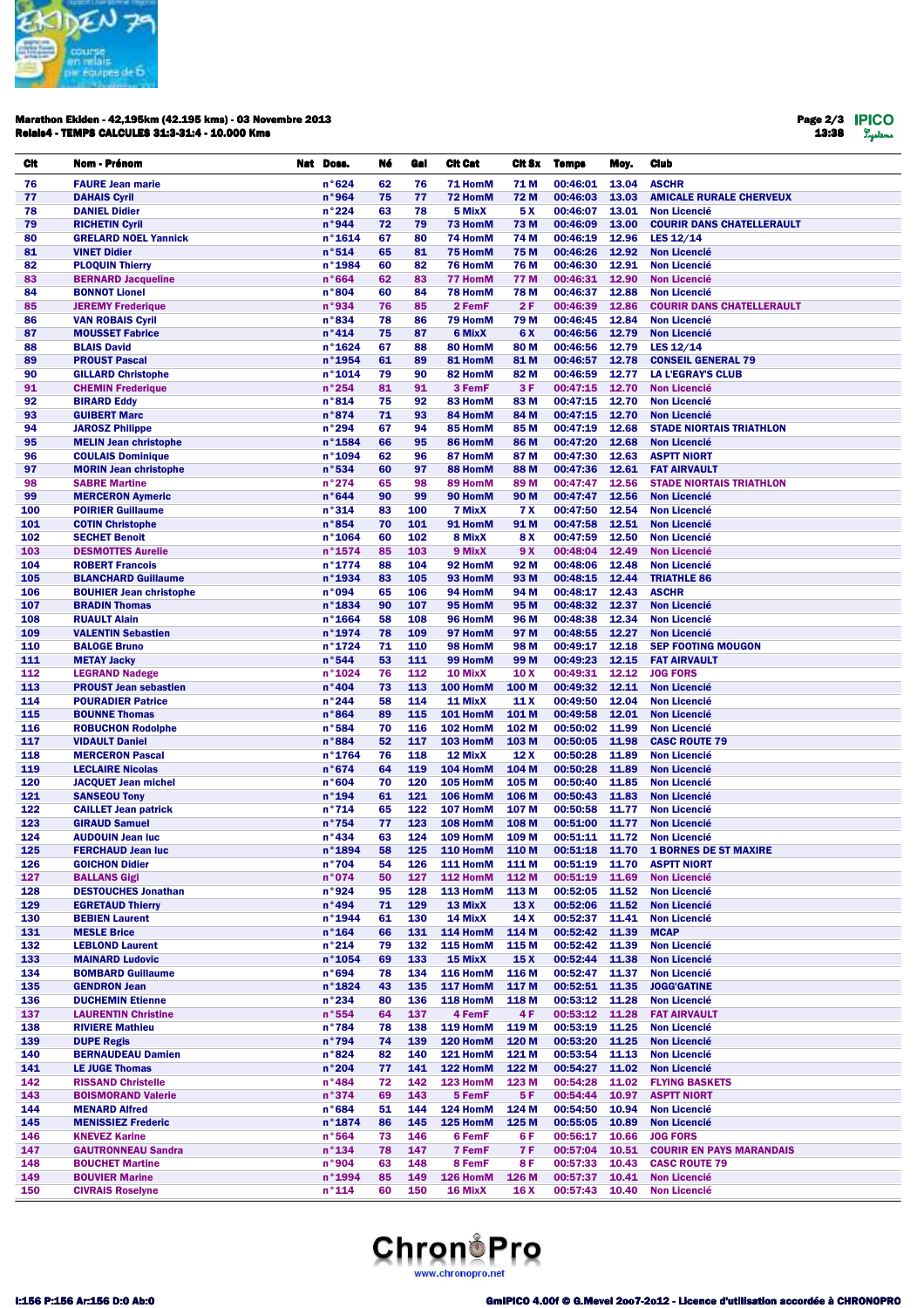

## Marathon Ekiden - 42,195km (42.195 kms) - 03 Novembre 2013 Relais4 - TEMPS CALCULES 31:3-31:4 - 10.000 Kms

Page 2/3 13:38

| CIt        | Nom - Prénom                                          | Nat Doss.                | Né       | Gal        | <b>Cit Cat</b>       | Cit Sx                   | <b>Temps</b>         | Moy.           | Club                                                    |
|------------|-------------------------------------------------------|--------------------------|----------|------------|----------------------|--------------------------|----------------------|----------------|---------------------------------------------------------|
| 76         | <b>FAURE Jean marie</b>                               | n°624                    | 62       | 76         | 71 HomM              | 71 M                     | 00:46:01             | 13.04          | <b>ASCHR</b>                                            |
| 77         | <b>DAHAIS Cyril</b>                                   | n°964                    | 75       | 77         | 72 HomM              | 72 M                     | 00:46:03             | 13.03          | <b>AMICALE RURALE CHERVEUX</b>                          |
| 78         | <b>DANIEL Didier</b>                                  | n°224                    | 63       | 78         | 5 MixX               | 5 X                      | 00:46:07             | 13.01          | <b>Non Licencié</b>                                     |
| 79         | <b>RICHETIN Cyril</b>                                 | n°944                    | 72       | 79         | 73 HomM              | 73 M                     | 00:46:09             | 13.00          | <b>COURIR DANS CHATELLERAULT</b>                        |
| 80         | <b>GRELARD NOEL Yannick</b>                           | n°1614                   | 67       | 80         | 74 HomM              | 74 M                     | 00:46:19             | 12.96          | LES $12/14$                                             |
| 81<br>82   | <b>VINET Didier</b>                                   | n°514<br>n°1984          | 65<br>60 | 81<br>82   | 75 HomM<br>76 HomM   | 75 M<br>76 M             | 00:46:26<br>00:46:30 | 12.92<br>12.91 | <b>Non Licencié</b><br><b>Non Licencié</b>              |
| 83         | <b>PLOQUIN Thierry</b><br><b>BERNARD Jacqueline</b>   | n°664                    | 62       | 83         | <b>77 HomM</b>       | 77 M                     | 00:46:31             | 12.90          | <b>Non Licencié</b>                                     |
| 84         | <b>BONNOT Lionel</b>                                  | n°804                    | 60       | 84         | 78 HomM              | <b>78 M</b>              | 00:46:37             | 12.88          | <b>Non Licencié</b>                                     |
| 85         | <b>JEREMY Frederique</b>                              | n°934                    | 76       | 85         | 2 FemF               | 2F                       | 00:46:39             | 12.86          | <b>COURIR DANS CHATELLERAULT</b>                        |
| 86         | <b>VAN ROBAIS Cyril</b>                               | n°834                    | 78       | 86         | 79 HomM              | 79 M                     | 00:46:45             | 12.84          | <b>Non Licencié</b>                                     |
| 87         | <b>MOUSSET Fabrice</b>                                | n°414                    | 75       | 87         | 6 MixX               | 6 X                      | 00:46:56             | 12.79          | <b>Non Licencié</b>                                     |
| 88         | <b>BLAIS David</b>                                    | $n^{\circ}$ 1624         | 67       | 88         | 80 HomM              | 80 M                     | 00:46:56             | 12.79          | LES 12/14                                               |
| 89         | <b>PROUST Pascal</b>                                  | n°1954                   | 61       | 89         | 81 HomM              | 81 M                     | 00:46:57             | 12.78          | <b>CONSEIL GENERAL 79</b>                               |
| 90<br>91   | <b>GILLARD Christophe</b><br><b>CHEMIN Frederique</b> | n°1014<br>n°254          | 79<br>81 | 90<br>91   | 82 HomM<br>3 FemF    | 82 M<br>3F               | 00:46:59<br>00:47:15 | 12.77<br>12.70 | <b>LA L'EGRAY'S CLUB</b><br><b>Non Licencié</b>         |
| 92         | <b>BIRARD Eddy</b>                                    | n°814                    | 75       | 92         | 83 HomM              | 83 M                     | 00:47:15             | 12.70          | <b>Non Licencié</b>                                     |
| 93         | <b>GUIBERT Marc</b>                                   | n°874                    | 71       | 93         | 84 HomM              | 84 M                     | 00:47:15             | 12.70          | <b>Non Licencié</b>                                     |
| 94         | <b>JAROSZ Philippe</b>                                | n°294                    | 67       | 94         | 85 HomM              | 85 M                     | 00:47:19             | 12.68          | <b>STADE NIORTAIS TRIATHLON</b>                         |
| 95         | <b>MELIN Jean christophe</b>                          | n°1584                   | 66       | 95         | 86 HomM              | 86 M                     | 00:47:20             | 12.68          | <b>Non Licencié</b>                                     |
| 96         | <b>COULAIS Dominique</b>                              | n°1094                   | 62       | 96         | 87 HomM              | 87 M                     | 00:47:30             | 12.63          | <b>ASPTT NIORT</b>                                      |
| 97         | <b>MORIN Jean christophe</b>                          | n°534                    | 60       | 97         | 88 HomM              | 88 M                     | 00:47:36             | 12.61          | <b>FAT AIRVAULT</b>                                     |
| 98         | <b>SABRE Martine</b>                                  | n°274                    | 65       | 98         | 89 HomM              | 89 M                     | 00:47:47             | 12.56          | <b>STADE NIORTAIS TRIATHLON</b>                         |
| 99         | <b>MERCERON Aymeric</b>                               | n°644                    | 90       | 99         | 90 HomM              | 90 M                     | 00:47:47             | 12.56          | <b>Non Licencié</b>                                     |
| 100<br>101 | <b>POIRIER Guillaume</b><br><b>COTIN Christophe</b>   | n°314<br>n°854           | 83<br>70 | 100<br>101 | 7 MixX<br>91 HomM    | <b>7X</b><br>91 M        | 00:47:50<br>00:47:58 | 12.54<br>12.51 | <b>Non Licencié</b><br><b>Non Licencié</b>              |
| 102        | <b>SECHET Benoit</b>                                  | n°1064                   | 60       | 102        | 8 MixX               | 8X                       | 00:47:59             | 12.50          | <b>Non Licencié</b>                                     |
| 103        | <b>DESMOTTES Aurelie</b>                              | $n^{\circ}$ 1574         | 85       | 103        | 9 MixX               | 9 X                      | 00:48:04             | 12.49          | <b>Non Licencié</b>                                     |
| 104        | <b>ROBERT Francois</b>                                | n°1774                   | 88       | 104        | 92 HomM              | 92 M                     | 00:48:06             | 12.48          | <b>Non Licencié</b>                                     |
| 105        | <b>BLANCHARD Guillaume</b>                            | n°1934                   | 83       | 105        | 93 HomM              | 93 M                     | 00:48:15 12.44       |                | <b>TRIATHLE 86</b>                                      |
| 106        | <b>BOUHIER Jean christophe</b>                        | n°094                    | 65       | 106        | 94 HomM              | 94 M                     | 00:48:17             | 12.43          | <b>ASCHR</b>                                            |
| 107        | <b>BRADIN Thomas</b>                                  | n°1834                   | 90       | 107        | 95 HomM              | 95 M                     | 00:48:32             | 12.37          | <b>Non Licencié</b>                                     |
| 108        | <b>RUAULT Alain</b>                                   | n°1664                   | 58       | 108        | 96 HomM              | 96 M                     | 00:48:38             | 12.34          | <b>Non Licencié</b>                                     |
| 109<br>110 | <b>VALENTIN Sebastien</b><br><b>BALOGE Bruno</b>      | n°1974<br>n°1724         | 78<br>71 | 109<br>110 | 97 HomM<br>98 HomM   | 97 M<br>98 M             | 00:48:55<br>00:49:17 | 12.27<br>12.18 | <b>Non Licencié</b><br><b>SEP FOOTING MOUGON</b>        |
| 111        | <b>METAY Jacky</b>                                    | n°544                    | 53       | 111        | 99 HomM              | 99 M                     | 00:49:23             | 12.15          | <b>FAT AIRVAULT</b>                                     |
| 112        | <b>LEGRAND Nadege</b>                                 | n°1024                   | 76       | 112        | 10 MixX              | 10 X                     | 00:49:31             | 12.12          | <b>JOG FORS</b>                                         |
| 113        | <b>PROUST Jean sebastien</b>                          | n°404                    | 73       | 113        | 100 HomM             | 100 M                    | 00:49:32             | 12.11          | <b>Non Licencié</b>                                     |
| 114        | <b>POURADIER Patrice</b>                              | n°244                    | 58       | 114        | 11 MixX              | 11 X                     | 00:49:50             | 12.04          | <b>Non Licencié</b>                                     |
| 115        | <b>BOUNNE Thomas</b>                                  | n°864                    | 89       | 115        | 101 HomM             | 101 M                    | 00:49:58             | 12.01          | <b>Non Licencié</b>                                     |
| 116        | <b>ROBUCHON Rodolphe</b>                              | n°584                    | 70       | 116        | 102 HomM             | 102 M                    | 00:50:02             | 11.99          | <b>Non Licencié</b>                                     |
| 117        | <b>VIDAULT Daniel</b>                                 | n°884                    | 52       | 117        | 103 HomM             | 103 M                    | 00:50:05             | 11.98          | <b>CASC ROUTE 79</b>                                    |
| 118<br>119 | <b>MERCERON Pascal</b>                                | n°1764                   | 76<br>64 | 118<br>119 | 12 MixX<br>104 HomM  | 12 <sub>X</sub><br>104 M | 00:50:28<br>00:50:28 | 11.89<br>11.89 | <b>Non Licencié</b>                                     |
| 120        | <b>LECLAIRE Nicolas</b><br><b>JACQUET Jean michel</b> | n°674<br>n°604           | 70       | 120        | 105 HomM             | 105 M                    | 00:50:40             | 11.85          | <b>Non Licencié</b><br><b>Non Licencié</b>              |
| 121        | <b>SANSEOU Tony</b>                                   | n°194                    | 61       | 121        | 106 HomM             | 106 M                    | 00:50:43             | 11.83          | <b>Non Licencié</b>                                     |
| 122        | <b>CAILLET Jean patrick</b>                           | n°714                    | 65       | 122        | 107 HomM             | 107 M                    | 00:50:58             | 11.77          | <b>Non Licencié</b>                                     |
| 123        | <b>GIRAUD Samuel</b>                                  | n°754                    | 77       | 123        | 108 HomM             | 108 M                    | 00:51:00             | 11.77          | <b>Non Licencié</b>                                     |
| 124        | <b>AUDOUIN Jean luc</b>                               | n°434                    | 63       | 124        | 109 HomM             | 109 <sub>M</sub>         | 00:51:11             | 11.72          | <b>Non Licencié</b>                                     |
| 125        | <b>FERCHAUD Jean luc</b>                              | n°1894                   | 58       | 125        | 110 HomM             | 110 M                    | 00:51:18             |                | 11.70 1 BORNES DE ST MAXIRE                             |
| 126        | <b>GOICHON Didier</b>                                 | n°704                    | 54       | 126        | 111 HomM             | 111 M                    | 00:51:19             | 11.70          | <b>ASPTT NIORT</b>                                      |
| 127        | <b>BALLANS Gigi</b>                                   | n°074                    | 50       | 127        | 112 HomM<br>113 HomM | 112 M                    | 00:51:19             | 11.69          | <b>Non Licencié</b>                                     |
| 128<br>129 | <b>DESTOUCHES Jonathan</b><br><b>EGRETAUD Thierry</b> | n°924<br>n°494           | 95<br>71 | 128<br>129 | 13 MixX              | 113 M<br>13 X            | 00:52:05<br>00:52:06 | 11.52<br>11.52 | <b>Non Licencié</b><br><b>Non Licencié</b>              |
| 130        | <b>BEBIEN Laurent</b>                                 | n°1944                   | 61       | 130        | 14 MixX              | 14 X                     | 00:52:37             | 11.41          | <b>Non Licencié</b>                                     |
| 131        | <b>MESLE Brice</b>                                    | $n^{\circ}$ 164          | 66       | 131        | 114 HomM             | 114 M                    | 00:52:42             | 11.39          | <b>MCAP</b>                                             |
| 132        | <b>LEBLOND Laurent</b>                                | n°214                    | 79       | 132        | 115 HomM             | 115 M                    | 00:52:42             | 11.39          | <b>Non Licencié</b>                                     |
| 133        | <b>MAINARD Ludovic</b>                                | $n^{\circ}$ 1054         | 69       | 133        | 15 MixX              | 15X                      | 00:52:44             | 11.38          | <b>Non Licencié</b>                                     |
| 134        | <b>BOMBARD Guillaume</b>                              | n°694                    | 78       | 134        | 116 HomM             | 116 M                    | 00:52:47             | 11.37          | <b>Non Licencié</b>                                     |
| 135        | <b>GENDRON Jean</b>                                   | $n^{\circ}$ 1824         | 43       | 135        | 117 HomM             | 117 M                    | 00:52:51             | 11.35          | <b>JOGG'GATINE</b>                                      |
| 136        | <b>DUCHEMIN Etienne</b>                               | n°234                    | 80       | 136        | 118 HomM             | 118 M                    | 00:53:12             | 11.28          | <b>Non Licencié</b>                                     |
| 137<br>138 | <b>LAURENTIN Christine</b><br><b>RIVIERE Mathieu</b>  | n°554<br>$n^{\circ}784$  | 64<br>78 | 137<br>138 | 4 FemF<br>119 HomM   | 4 F<br>119 M             | 00:53:12<br>00:53:19 | 11.28<br>11.25 | <b>FAT AIRVAULT</b><br><b>Non Licencié</b>              |
| 139        | <b>DUPE Regis</b>                                     | n°794                    | 74       | 139        | 120 HomM             | 120 M                    | 00:53:20             | 11.25          | <b>Non Licencié</b>                                     |
| 140        | <b>BERNAUDEAU Damien</b>                              | n°824                    | 82       | 140        | 121 HomM             | 121 M                    | 00:53:54             | 11.13          | <b>Non Licencié</b>                                     |
| 141        | <b>LE JUGE Thomas</b>                                 | n°204                    | 77       | 141        | 122 HomM             | 122 M                    | 00:54:27             | 11.02          | <b>Non Licencié</b>                                     |
| 142        | <b>RISSAND Christelle</b>                             | n°484                    | 72       | 142        | 123 HomM             | 123 M                    | 00:54:28             | 11.02          | <b>FLYING BASKETS</b>                                   |
| 143        | <b>BOISMORAND Valerie</b>                             | n°374                    | 69       | 143        | 5 FemF               | 5F                       | 00:54:44             | 10.97          | <b>ASPTT NIORT</b>                                      |
| 144        | <b>MENARD Alfred</b>                                  | n°684                    | 51       | 144        | 124 HomM             | 124 M                    | 00:54:50             | 10.94          | <b>Non Licencié</b>                                     |
| 145        | <b>MENISSIEZ Frederic</b>                             | $n^{\circ}$ 1874         | 86       | 145        | 125 HomM             | 125 M                    | 00:55:05             | 10.89          | <b>Non Licencié</b>                                     |
| 146        | <b>KNEVEZ Karine</b>                                  | n°564                    | 73       | 146        | 6 FemF               | 6 F                      | 00:56:17             | 10.66          | <b>JOG FORS</b>                                         |
| 147<br>148 | <b>GAUTRONNEAU Sandra</b><br><b>BOUCHET Martine</b>   | $n^{\circ}$ 134<br>n°904 | 78<br>63 | 147<br>148 | 7 FemF<br>8 FemF     | 7 F<br>8 F               | 00:57:04<br>00:57:33 | 10.51<br>10.43 | <b>COURIR EN PAYS MARANDAIS</b><br><b>CASC ROUTE 79</b> |
| 149        | <b>BOUVIER Marine</b>                                 | n°1994                   | 85       | 149        | 126 HomM             | 126 M                    | 00:57:37             | 10.41          | <b>Non Licencié</b>                                     |
| 150        | <b>CIVRAIS Roselyne</b>                               | $n^{\circ}$ 114          | 60       | 150        | 16 MixX              | 16 X                     | 00:57:43             | 10.40          | <b>Non Licencié</b>                                     |

## **Chron**<sup>1</sup>Pro www.chronopro.net